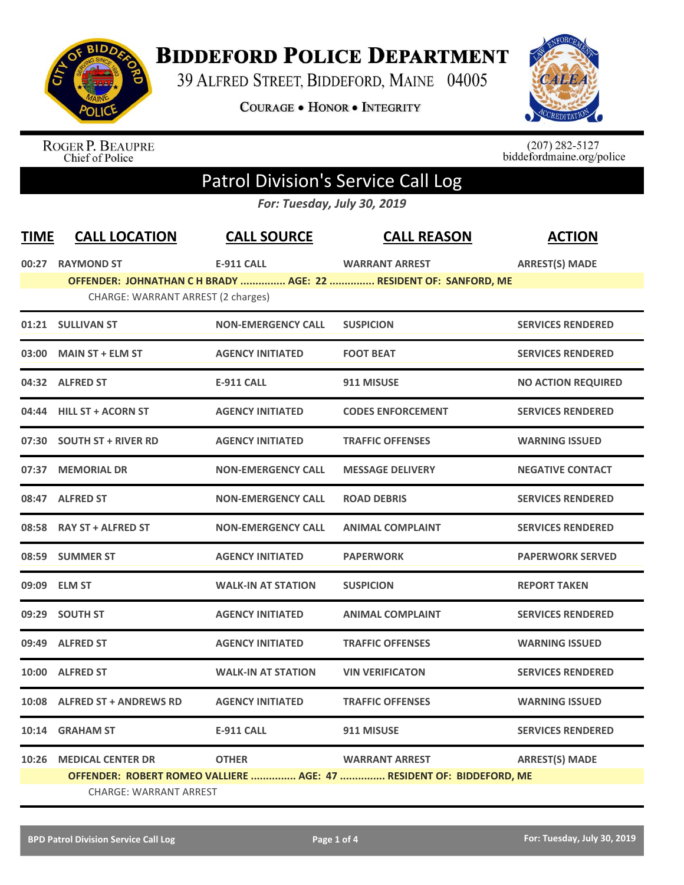

## **BIDDEFORD POLICE DEPARTMENT**

39 ALFRED STREET, BIDDEFORD, MAINE 04005

**COURAGE . HONOR . INTEGRITY** 



ROGER P. BEAUPRE<br>Chief of Police

 $(207)$  282-5127<br>biddefordmaine.org/police

## Patrol Division's Service Call Log

*For: Tuesday, July 30, 2019*

| <b>TIME</b> | <b>CALL LOCATION</b>               | <b>CALL SOURCE</b>        | <b>CALL REASON</b>                                                   | <b>ACTION</b>             |
|-------------|------------------------------------|---------------------------|----------------------------------------------------------------------|---------------------------|
|             | 00:27 RAYMOND ST                   | <b>E-911 CALL</b>         | <b>WARRANT ARREST</b>                                                | <b>ARREST(S) MADE</b>     |
|             | CHARGE: WARRANT ARREST (2 charges) |                           | OFFENDER: JOHNATHAN C H BRADY  AGE: 22  RESIDENT OF: SANFORD, ME     |                           |
|             |                                    |                           |                                                                      |                           |
|             | 01:21 SULLIVAN ST                  | <b>NON-EMERGENCY CALL</b> | <b>SUSPICION</b>                                                     | <b>SERVICES RENDERED</b>  |
| 03:00       | <b>MAIN ST + ELM ST</b>            | <b>AGENCY INITIATED</b>   | <b>FOOT BEAT</b>                                                     | <b>SERVICES RENDERED</b>  |
|             | 04:32 ALFRED ST                    | <b>E-911 CALL</b>         | 911 MISUSE                                                           | <b>NO ACTION REQUIRED</b> |
|             | 04:44 HILL ST + ACORN ST           | <b>AGENCY INITIATED</b>   | <b>CODES ENFORCEMENT</b>                                             | <b>SERVICES RENDERED</b>  |
|             | 07:30 SOUTH ST + RIVER RD          | <b>AGENCY INITIATED</b>   | <b>TRAFFIC OFFENSES</b>                                              | <b>WARNING ISSUED</b>     |
| 07:37       | <b>MEMORIAL DR</b>                 | <b>NON-EMERGENCY CALL</b> | <b>MESSAGE DELIVERY</b>                                              | <b>NEGATIVE CONTACT</b>   |
|             | 08:47 ALFRED ST                    | <b>NON-EMERGENCY CALL</b> | <b>ROAD DEBRIS</b>                                                   | <b>SERVICES RENDERED</b>  |
| 08:58       | <b>RAY ST + ALFRED ST</b>          | <b>NON-EMERGENCY CALL</b> | <b>ANIMAL COMPLAINT</b>                                              | <b>SERVICES RENDERED</b>  |
|             | 08:59 SUMMER ST                    | <b>AGENCY INITIATED</b>   | <b>PAPERWORK</b>                                                     | <b>PAPERWORK SERVED</b>   |
|             | 09:09 ELM ST                       | <b>WALK-IN AT STATION</b> | <b>SUSPICION</b>                                                     | <b>REPORT TAKEN</b>       |
|             | 09:29 SOUTH ST                     | <b>AGENCY INITIATED</b>   | <b>ANIMAL COMPLAINT</b>                                              | <b>SERVICES RENDERED</b>  |
|             | 09:49 ALFRED ST                    | <b>AGENCY INITIATED</b>   | <b>TRAFFIC OFFENSES</b>                                              | <b>WARNING ISSUED</b>     |
|             | 10:00 ALFRED ST                    | <b>WALK-IN AT STATION</b> | <b>VIN VERIFICATON</b>                                               | <b>SERVICES RENDERED</b>  |
| 10:08       | <b>ALFRED ST + ANDREWS RD</b>      | <b>AGENCY INITIATED</b>   | <b>TRAFFIC OFFENSES</b>                                              | <b>WARNING ISSUED</b>     |
|             | 10:14 GRAHAM ST                    | <b>E-911 CALL</b>         | 911 MISUSE                                                           | <b>SERVICES RENDERED</b>  |
| 10:26       | <b>MEDICAL CENTER DR</b>           | <b>OTHER</b>              | <b>WARRANT ARREST</b>                                                | <b>ARREST(S) MADE</b>     |
|             |                                    |                           | OFFENDER: ROBERT ROMEO VALLIERE  AGE: 47  RESIDENT OF: BIDDEFORD, ME |                           |
|             | <b>CHARGE: WARRANT ARREST</b>      |                           |                                                                      |                           |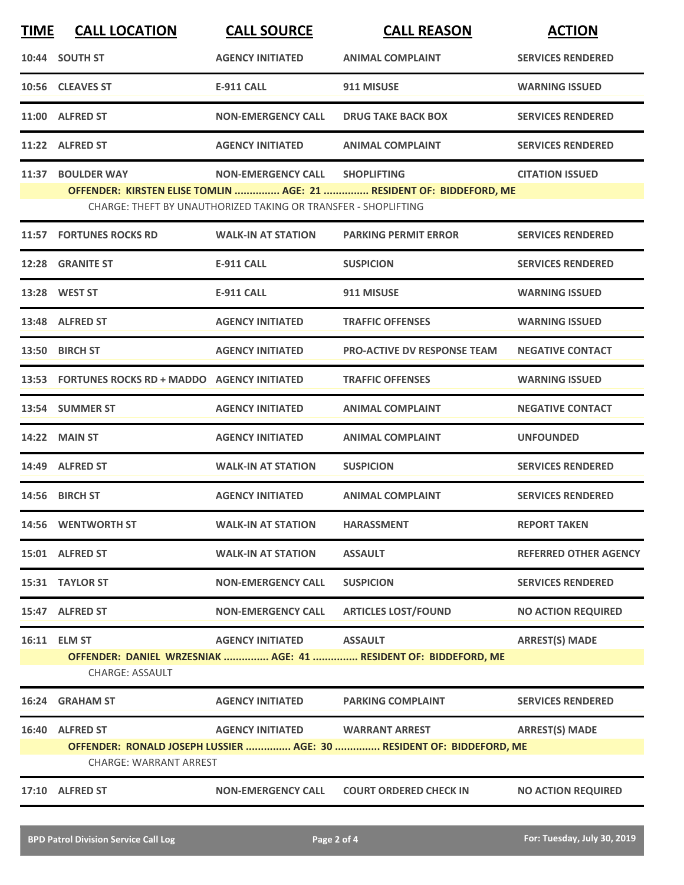| <b>TIME</b> | <b>CALL LOCATION</b>                             | <b>CALL SOURCE</b>                                             | <b>CALL REASON</b>                                                   | <b>ACTION</b>                |
|-------------|--------------------------------------------------|----------------------------------------------------------------|----------------------------------------------------------------------|------------------------------|
|             | 10:44 SOUTH ST                                   | <b>AGENCY INITIATED</b>                                        | <b>ANIMAL COMPLAINT</b>                                              | <b>SERVICES RENDERED</b>     |
|             | 10:56 CLEAVES ST                                 | <b>E-911 CALL</b>                                              | 911 MISUSE                                                           | <b>WARNING ISSUED</b>        |
|             | 11:00 ALFRED ST                                  | <b>NON-EMERGENCY CALL</b>                                      | <b>DRUG TAKE BACK BOX</b>                                            | <b>SERVICES RENDERED</b>     |
|             | 11:22 ALFRED ST                                  | <b>AGENCY INITIATED</b>                                        | <b>ANIMAL COMPLAINT</b>                                              | <b>SERVICES RENDERED</b>     |
| 11:37       | <b>BOULDER WAY</b>                               | <b>NON-EMERGENCY CALL</b>                                      | <b>SHOPLIFTING</b>                                                   | <b>CITATION ISSUED</b>       |
|             |                                                  | CHARGE: THEFT BY UNAUTHORIZED TAKING OR TRANSFER - SHOPLIFTING | OFFENDER: KIRSTEN ELISE TOMLIN  AGE: 21  RESIDENT OF: BIDDEFORD, ME  |                              |
|             | 11:57 FORTUNES ROCKS RD                          | <b>WALK-IN AT STATION</b>                                      | <b>PARKING PERMIT ERROR</b>                                          | <b>SERVICES RENDERED</b>     |
|             | 12:28 GRANITE ST                                 | <b>E-911 CALL</b>                                              | <b>SUSPICION</b>                                                     | <b>SERVICES RENDERED</b>     |
|             | 13:28 WEST ST                                    | <b>E-911 CALL</b>                                              | 911 MISUSE                                                           | <b>WARNING ISSUED</b>        |
|             | 13:48 ALFRED ST                                  | <b>AGENCY INITIATED</b>                                        | <b>TRAFFIC OFFENSES</b>                                              | <b>WARNING ISSUED</b>        |
|             | 13:50 BIRCH ST                                   | <b>AGENCY INITIATED</b>                                        | <b>PRO-ACTIVE DV RESPONSE TEAM</b>                                   | <b>NEGATIVE CONTACT</b>      |
|             | 13:53 FORTUNES ROCKS RD + MADDO AGENCY INITIATED |                                                                | <b>TRAFFIC OFFENSES</b>                                              | <b>WARNING ISSUED</b>        |
|             | 13:54 SUMMER ST                                  | <b>AGENCY INITIATED</b>                                        | <b>ANIMAL COMPLAINT</b>                                              | <b>NEGATIVE CONTACT</b>      |
|             | <b>14:22 MAIN ST</b>                             | <b>AGENCY INITIATED</b>                                        | <b>ANIMAL COMPLAINT</b>                                              | <b>UNFOUNDED</b>             |
|             | 14:49 ALFRED ST                                  | <b>WALK-IN AT STATION</b>                                      | <b>SUSPICION</b>                                                     | <b>SERVICES RENDERED</b>     |
|             | 14:56 BIRCH ST                                   | <b>AGENCY INITIATED</b>                                        | <b>ANIMAL COMPLAINT</b>                                              | <b>SERVICES RENDERED</b>     |
|             | 14:56 WENTWORTH ST                               | <b>WALK-IN AT STATION</b>                                      | <b>HARASSMENT</b>                                                    | <b>REPORT TAKEN</b>          |
|             | 15:01 ALFRED ST                                  | <b>WALK-IN AT STATION</b>                                      | <b>ASSAULT</b>                                                       | <b>REFERRED OTHER AGENCY</b> |
|             | 15:31 TAYLOR ST                                  | <b>NON-EMERGENCY CALL</b>                                      | <b>SUSPICION</b>                                                     | <b>SERVICES RENDERED</b>     |
|             | 15:47 ALFRED ST                                  | <b>NON-EMERGENCY CALL</b>                                      | <b>ARTICLES LOST/FOUND</b>                                           | <b>NO ACTION REQUIRED</b>    |
|             | 16:11 ELM ST                                     | <b>AGENCY INITIATED</b>                                        | <b>ASSAULT</b>                                                       | <b>ARREST(S) MADE</b>        |
|             | <b>CHARGE: ASSAULT</b>                           |                                                                | OFFENDER: DANIEL WRZESNIAK  AGE: 41  RESIDENT OF: BIDDEFORD, ME      |                              |
|             | 16:24 GRAHAM ST                                  | <b>AGENCY INITIATED</b>                                        | <b>PARKING COMPLAINT</b>                                             | <b>SERVICES RENDERED</b>     |
|             | 16:40 ALFRED ST                                  | <b>AGENCY INITIATED</b>                                        | <b>WARRANT ARREST</b>                                                | <b>ARREST(S) MADE</b>        |
|             | <b>CHARGE: WARRANT ARREST</b>                    |                                                                | OFFENDER: RONALD JOSEPH LUSSIER  AGE: 30  RESIDENT OF: BIDDEFORD, ME |                              |
|             | 17:10 ALFRED ST                                  | <b>NON-EMERGENCY CALL</b>                                      | <b>COURT ORDERED CHECK IN</b>                                        | <b>NO ACTION REQUIRED</b>    |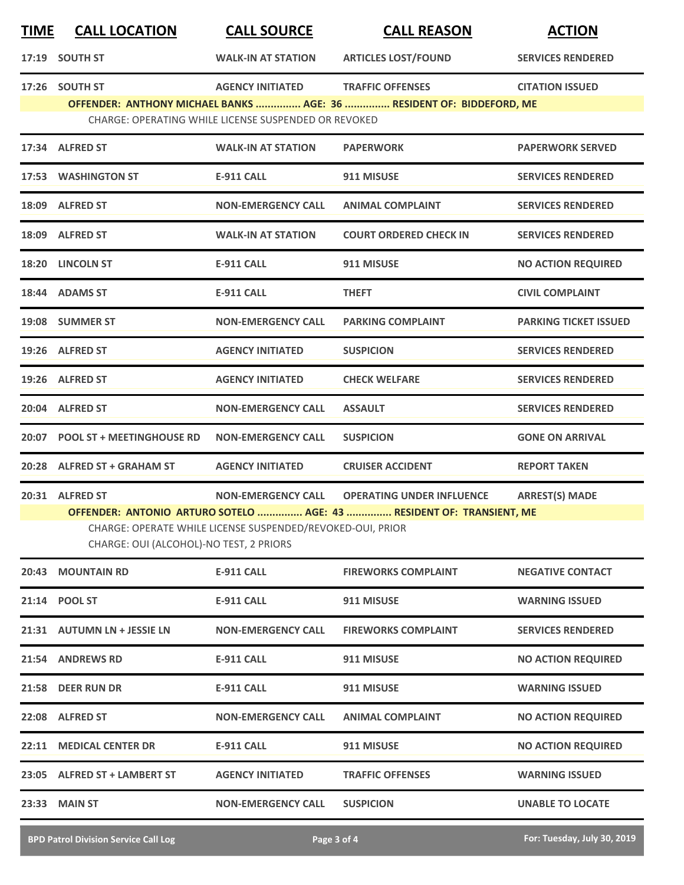| <b>TIME</b> | <b>CALL LOCATION</b>                                                                                                                                                                                                                                                                       | <b>CALL SOURCE</b>                                                              | <b>CALL REASON</b>                                                                              | <b>ACTION</b>                |  |
|-------------|--------------------------------------------------------------------------------------------------------------------------------------------------------------------------------------------------------------------------------------------------------------------------------------------|---------------------------------------------------------------------------------|-------------------------------------------------------------------------------------------------|------------------------------|--|
|             | 17:19 SOUTH ST                                                                                                                                                                                                                                                                             | <b>WALK-IN AT STATION</b>                                                       | <b>ARTICLES LOST/FOUND</b>                                                                      | <b>SERVICES RENDERED</b>     |  |
|             | 17:26 SOUTH ST                                                                                                                                                                                                                                                                             | <b>AGENCY INITIATED</b><br>CHARGE: OPERATING WHILE LICENSE SUSPENDED OR REVOKED | <b>TRAFFIC OFFENSES</b><br>OFFENDER: ANTHONY MICHAEL BANKS  AGE: 36  RESIDENT OF: BIDDEFORD, ME | <b>CITATION ISSUED</b>       |  |
|             | 17:34 ALFRED ST                                                                                                                                                                                                                                                                            | <b>WALK-IN AT STATION</b>                                                       | <b>PAPERWORK</b>                                                                                | <b>PAPERWORK SERVED</b>      |  |
|             | 17:53 WASHINGTON ST                                                                                                                                                                                                                                                                        | <b>E-911 CALL</b>                                                               | 911 MISUSE                                                                                      | <b>SERVICES RENDERED</b>     |  |
|             | 18:09 ALFRED ST                                                                                                                                                                                                                                                                            | <b>NON-EMERGENCY CALL</b>                                                       | <b>ANIMAL COMPLAINT</b>                                                                         | <b>SERVICES RENDERED</b>     |  |
|             | 18:09 ALFRED ST                                                                                                                                                                                                                                                                            | <b>WALK-IN AT STATION</b>                                                       | <b>COURT ORDERED CHECK IN</b>                                                                   | <b>SERVICES RENDERED</b>     |  |
|             | 18:20 LINCOLN ST                                                                                                                                                                                                                                                                           | <b>E-911 CALL</b>                                                               | 911 MISUSE                                                                                      | <b>NO ACTION REQUIRED</b>    |  |
|             | 18:44 ADAMS ST                                                                                                                                                                                                                                                                             | <b>E-911 CALL</b>                                                               | <b>THEFT</b>                                                                                    | <b>CIVIL COMPLAINT</b>       |  |
|             | 19:08 SUMMER ST                                                                                                                                                                                                                                                                            | <b>NON-EMERGENCY CALL</b>                                                       | <b>PARKING COMPLAINT</b>                                                                        | <b>PARKING TICKET ISSUED</b> |  |
|             | 19:26 ALFRED ST                                                                                                                                                                                                                                                                            | <b>AGENCY INITIATED</b>                                                         | <b>SUSPICION</b>                                                                                | <b>SERVICES RENDERED</b>     |  |
|             | 19:26 ALFRED ST                                                                                                                                                                                                                                                                            | <b>AGENCY INITIATED</b>                                                         | <b>CHECK WELFARE</b>                                                                            | <b>SERVICES RENDERED</b>     |  |
|             | 20:04 ALFRED ST                                                                                                                                                                                                                                                                            | <b>NON-EMERGENCY CALL</b>                                                       | <b>ASSAULT</b>                                                                                  | <b>SERVICES RENDERED</b>     |  |
|             | 20:07 POOL ST + MEETINGHOUSE RD                                                                                                                                                                                                                                                            | <b>NON-EMERGENCY CALL</b>                                                       | <b>SUSPICION</b>                                                                                | <b>GONE ON ARRIVAL</b>       |  |
|             | 20:28 ALFRED ST + GRAHAM ST                                                                                                                                                                                                                                                                | <b>AGENCY INITIATED</b>                                                         | <b>CRUISER ACCIDENT</b>                                                                         | <b>REPORT TAKEN</b>          |  |
|             | 20:31 ALFRED ST<br><b>OPERATING UNDER INFLUENCE</b><br><b>ARREST(S) MADE</b><br><b>NON-EMERGENCY CALL</b><br>OFFENDER: ANTONIO ARTURO SOTELO  AGE: 43  RESIDENT OF: TRANSIENT, ME<br>CHARGE: OPERATE WHILE LICENSE SUSPENDED/REVOKED-OUI, PRIOR<br>CHARGE: OUI (ALCOHOL)-NO TEST, 2 PRIORS |                                                                                 |                                                                                                 |                              |  |
| 20:43       | <b>MOUNTAIN RD</b>                                                                                                                                                                                                                                                                         | <b>E-911 CALL</b>                                                               | <b>FIREWORKS COMPLAINT</b>                                                                      | <b>NEGATIVE CONTACT</b>      |  |
|             | 21:14 POOL ST                                                                                                                                                                                                                                                                              | <b>E-911 CALL</b>                                                               | 911 MISUSE                                                                                      | <b>WARNING ISSUED</b>        |  |
|             | 21:31 AUTUMN LN + JESSIE LN                                                                                                                                                                                                                                                                | <b>NON-EMERGENCY CALL</b>                                                       | <b>FIREWORKS COMPLAINT</b>                                                                      | <b>SERVICES RENDERED</b>     |  |
|             | 21:54 ANDREWS RD                                                                                                                                                                                                                                                                           | <b>E-911 CALL</b>                                                               | 911 MISUSE                                                                                      | <b>NO ACTION REQUIRED</b>    |  |
|             | 21:58 DEER RUN DR                                                                                                                                                                                                                                                                          | <b>E-911 CALL</b>                                                               | 911 MISUSE                                                                                      | <b>WARNING ISSUED</b>        |  |
| 22:08       | <b>ALFRED ST</b>                                                                                                                                                                                                                                                                           | <b>NON-EMERGENCY CALL</b>                                                       | <b>ANIMAL COMPLAINT</b>                                                                         | <b>NO ACTION REQUIRED</b>    |  |
|             | 22:11 MEDICAL CENTER DR                                                                                                                                                                                                                                                                    | <b>E-911 CALL</b>                                                               | 911 MISUSE                                                                                      | <b>NO ACTION REQUIRED</b>    |  |
|             | 23:05 ALFRED ST + LAMBERT ST                                                                                                                                                                                                                                                               | <b>AGENCY INITIATED</b>                                                         | <b>TRAFFIC OFFENSES</b>                                                                         | <b>WARNING ISSUED</b>        |  |
| 23:33       | <b>MAIN ST</b>                                                                                                                                                                                                                                                                             | <b>NON-EMERGENCY CALL</b>                                                       | <b>SUSPICION</b>                                                                                | <b>UNABLE TO LOCATE</b>      |  |